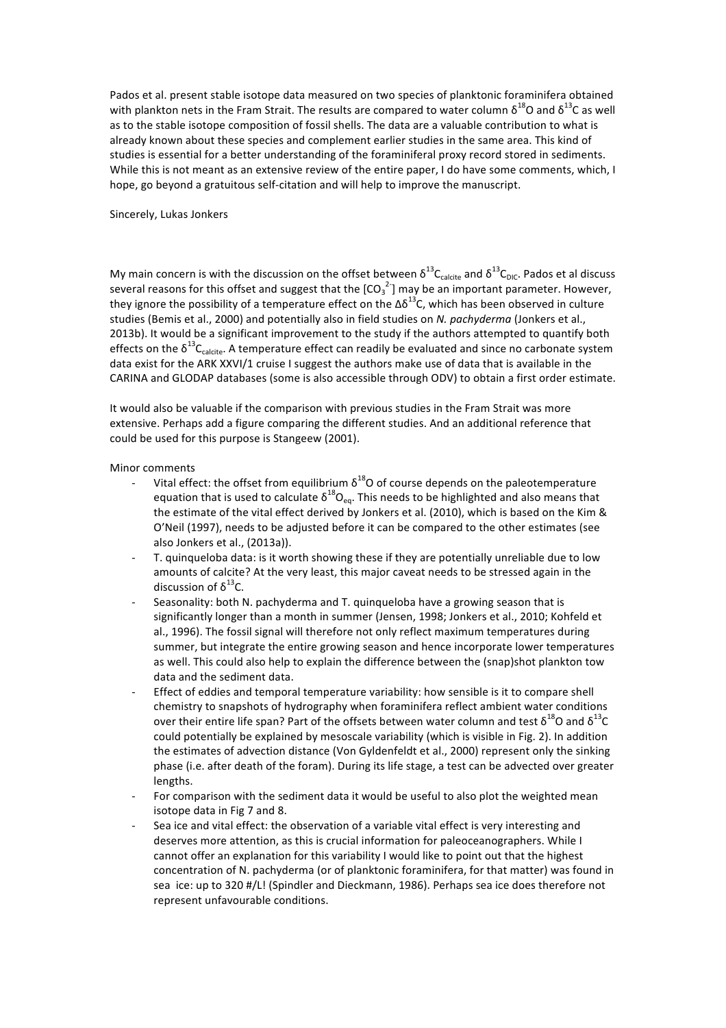Pados et al. present stable isotope data measured on two species of planktonic foraminifera obtained with plankton nets in the Fram Strait. The results are compared to water column  $\delta^{18}$ O and  $\delta^{13}$ C as well as to the stable isotope composition of fossil shells. The data are a valuable contribution to what is already known about these species and complement earlier studies in the same area. This kind of studies is essential for a better understanding of the foraminiferal proxy record stored in sediments. While this is not meant as an extensive review of the entire paper, I do have some comments, which, I hope, go beyond a gratuitous self-citation and will help to improve the manuscript.

## Sincerely, Lukas Jonkers

My main concern is with the discussion on the offset between  $\delta^{13}C_{\text{calcite}}$  and  $\delta^{13}C_{\text{DIC}}$ . Pados et al discuss several reasons for this offset and suggest that the  $\text{[CO}_3^{-2} \text{]}$  may be an important parameter. However, they ignore the possibility of a temperature effect on the  $\Delta \delta^{13}$ C, which has been observed in culture studies (Bemis et al., 2000) and potentially also in field studies on *N. pachyderma* (Jonkers et al., 2013b). It would be a significant improvement to the study if the authors attempted to quantify both effects on the  $\delta^{13}C_{\text{calcite}}$ . A temperature effect can readily be evaluated and since no carbonate system data exist for the ARK XXVI/1 cruise I suggest the authors make use of data that is available in the CARINA and GLODAP databases (some is also accessible through ODV) to obtain a first order estimate.

It would also be valuable if the comparison with previous studies in the Fram Strait was more extensive. Perhaps add a figure comparing the different studies. And an additional reference that could be used for this purpose is Stangeew (2001).

Minor comments

- Vital effect: the offset from equilibrium  $\delta^{18}$ O of course depends on the paleotemperature equation that is used to calculate  $\delta^{18}O_{\text{eq}}$ . This needs to be highlighted and also means that the estimate of the vital effect derived by Jonkers et al. (2010), which is based on the Kim & O'Neil (1997), needs to be adjusted before it can be compared to the other estimates (see also Jonkers et al., (2013a)).
- T. quinqueloba data: is it worth showing these if they are potentially unreliable due to low amounts of calcite? At the very least, this major caveat needs to be stressed again in the discussion of  $\delta^{13}$ C.
- Seasonality: both N. pachyderma and T. quinqueloba have a growing season that is significantly longer than a month in summer (Jensen, 1998; Jonkers et al., 2010; Kohfeld et al., 1996). The fossil signal will therefore not only reflect maximum temperatures during summer, but integrate the entire growing season and hence incorporate lower temperatures as well. This could also help to explain the difference between the (snap)shot plankton tow data and the sediment data.
- Effect of eddies and temporal temperature variability: how sensible is it to compare shell chemistry to snapshots of hydrography when foraminifera reflect ambient water conditions over their entire life span? Part of the offsets between water column and test  $\delta^{18}O$  and  $\delta^{13}C$ could potentially be explained by mesoscale variability (which is visible in Fig. 2). In addition the estimates of advection distance (Von Gyldenfeldt et al., 2000) represent only the sinking phase (i.e. after death of the foram). During its life stage, a test can be advected over greater lengths.
- For comparison with the sediment data it would be useful to also plot the weighted mean isotope data in Fig 7 and 8.
- Sea ice and vital effect: the observation of a variable vital effect is very interesting and deserves more attention, as this is crucial information for paleoceanographers. While I cannot offer an explanation for this variability I would like to point out that the highest concentration of N. pachyderma (or of planktonic foraminifera, for that matter) was found in sea ice: up to 320 #/L! (Spindler and Dieckmann, 1986). Perhaps sea ice does therefore not represent unfavourable conditions.